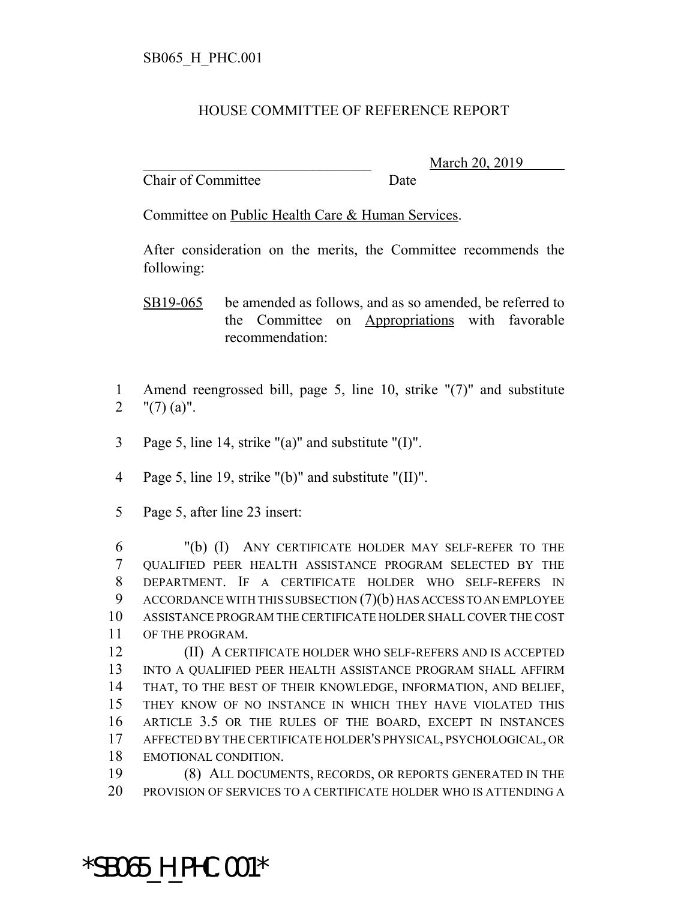## HOUSE COMMITTEE OF REFERENCE REPORT

Chair of Committee Date

March 20, 2019

Committee on Public Health Care & Human Services.

After consideration on the merits, the Committee recommends the following:

- Amend reengrossed bill, page 5, line 10, strike "(7)" and substitute 2  $"(7)$  (a)".
- Page 5, line 14, strike "(a)" and substitute "(I)".
- Page 5, line 19, strike "(b)" and substitute "(II)".
- Page 5, after line 23 insert:

 "(b) (I) ANY CERTIFICATE HOLDER MAY SELF-REFER TO THE QUALIFIED PEER HEALTH ASSISTANCE PROGRAM SELECTED BY THE DEPARTMENT. IF A CERTIFICATE HOLDER WHO SELF-REFERS IN ACCORDANCE WITH THIS SUBSECTION (7)(b) HAS ACCESS TO AN EMPLOYEE ASSISTANCE PROGRAM THE CERTIFICATE HOLDER SHALL COVER THE COST OF THE PROGRAM.

 (II) A CERTIFICATE HOLDER WHO SELF-REFERS AND IS ACCEPTED INTO A QUALIFIED PEER HEALTH ASSISTANCE PROGRAM SHALL AFFIRM THAT, TO THE BEST OF THEIR KNOWLEDGE, INFORMATION, AND BELIEF, THEY KNOW OF NO INSTANCE IN WHICH THEY HAVE VIOLATED THIS ARTICLE 3.5 OR THE RULES OF THE BOARD, EXCEPT IN INSTANCES AFFECTED BY THE CERTIFICATE HOLDER'S PHYSICAL, PSYCHOLOGICAL, OR EMOTIONAL CONDITION.

 (8) ALL DOCUMENTS, RECORDS, OR REPORTS GENERATED IN THE PROVISION OF SERVICES TO A CERTIFICATE HOLDER WHO IS ATTENDING A

\*SB065\_H\_PHC.001\*

SB19-065 be amended as follows, and as so amended, be referred to the Committee on Appropriations with favorable recommendation: